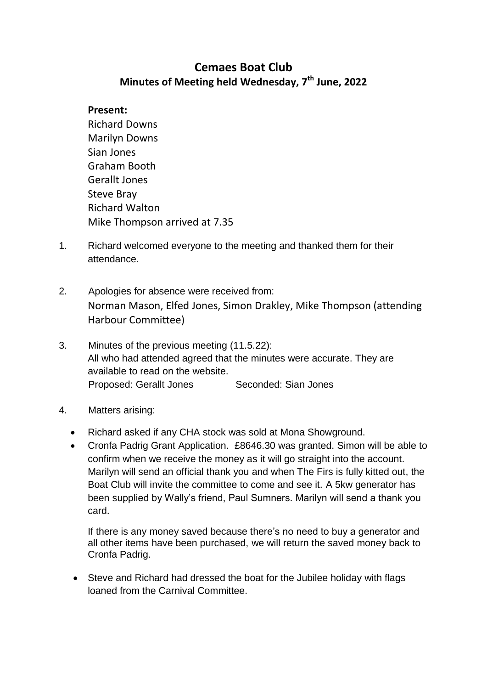## **Cemaes Boat Club Minutes of Meeting held Wednesday, 7th June, 2022**

## **Present:**

- Richard Downs Marilyn Downs Sian Jones Graham Booth Gerallt Jones Steve Bray Richard Walton Mike Thompson arrived at 7.35
- 1. Richard welcomed everyone to the meeting and thanked them for their attendance.
- 2. Apologies for absence were received from: Norman Mason, Elfed Jones, Simon Drakley, Mike Thompson (attending Harbour Committee)
- 3. Minutes of the previous meeting (11.5.22): All who had attended agreed that the minutes were accurate. They are available to read on the website. Proposed: Gerallt Jones Seconded: Sian Jones
- 4. Matters arising:
	- Richard asked if any CHA stock was sold at Mona Showground.
	- Cronfa Padrig Grant Application. £8646.30 was granted. Simon will be able to confirm when we receive the money as it will go straight into the account. Marilyn will send an official thank you and when The Firs is fully kitted out, the Boat Club will invite the committee to come and see it. A 5kw generator has been supplied by Wally's friend, Paul Sumners. Marilyn will send a thank you card.

If there is any money saved because there's no need to buy a generator and all other items have been purchased, we will return the saved money back to Cronfa Padrig.

 Steve and Richard had dressed the boat for the Jubilee holiday with flags loaned from the Carnival Committee.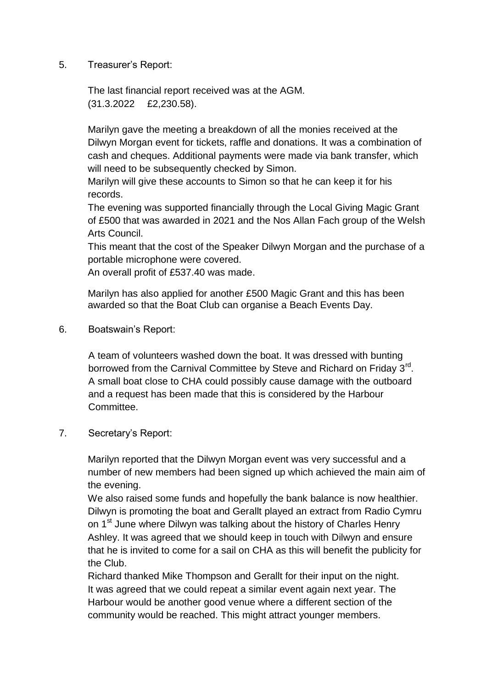5. Treasurer's Report:

The last financial report received was at the AGM. (31.3.2022 £2,230.58).

Marilyn gave the meeting a breakdown of all the monies received at the Dilwyn Morgan event for tickets, raffle and donations. It was a combination of cash and cheques. Additional payments were made via bank transfer, which will need to be subsequently checked by Simon.

Marilyn will give these accounts to Simon so that he can keep it for his records.

The evening was supported financially through the Local Giving Magic Grant of £500 that was awarded in 2021 and the Nos Allan Fach group of the Welsh Arts Council.

This meant that the cost of the Speaker Dilwyn Morgan and the purchase of a portable microphone were covered.

An overall profit of £537.40 was made.

Marilyn has also applied for another £500 Magic Grant and this has been awarded so that the Boat Club can organise a Beach Events Day.

6. Boatswain's Report:

A team of volunteers washed down the boat. It was dressed with bunting borrowed from the Carnival Committee by Steve and Richard on Friday 3<sup>rd</sup>. A small boat close to CHA could possibly cause damage with the outboard and a request has been made that this is considered by the Harbour Committee.

7. Secretary's Report:

Marilyn reported that the Dilwyn Morgan event was very successful and a number of new members had been signed up which achieved the main aim of the evening.

We also raised some funds and hopefully the bank balance is now healthier. Dilwyn is promoting the boat and Gerallt played an extract from Radio Cymru on 1<sup>st</sup> June where Dilwyn was talking about the history of Charles Henry Ashley. It was agreed that we should keep in touch with Dilwyn and ensure that he is invited to come for a sail on CHA as this will benefit the publicity for the Club.

Richard thanked Mike Thompson and Gerallt for their input on the night. It was agreed that we could repeat a similar event again next year. The Harbour would be another good venue where a different section of the community would be reached. This might attract younger members.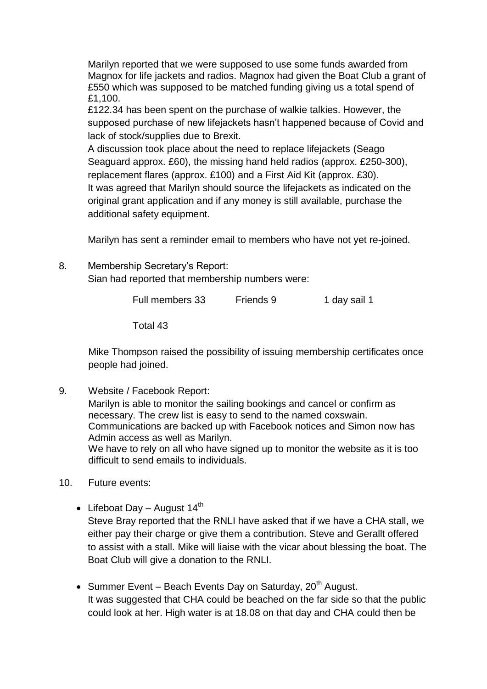Marilyn reported that we were supposed to use some funds awarded from Magnox for life jackets and radios. Magnox had given the Boat Club a grant of £550 which was supposed to be matched funding giving us a total spend of £1,100.

£122.34 has been spent on the purchase of walkie talkies. However, the supposed purchase of new lifejackets hasn't happened because of Covid and lack of stock/supplies due to Brexit.

A discussion took place about the need to replace lifejackets (Seago Seaguard approx. £60), the missing hand held radios (approx. £250-300), replacement flares (approx. £100) and a First Aid Kit (approx. £30). It was agreed that Marilyn should source the lifejackets as indicated on the original grant application and if any money is still available, purchase the additional safety equipment.

Marilyn has sent a reminder email to members who have not yet re-joined.

8. Membership Secretary's Report:

Sian had reported that membership numbers were:

Full members 33 Friends 9 1 day sail 1

Total 43

Mike Thompson raised the possibility of issuing membership certificates once people had joined.

9. Website / Facebook Report:

Marilyn is able to monitor the sailing bookings and cancel or confirm as necessary. The crew list is easy to send to the named coxswain. Communications are backed up with Facebook notices and Simon now has Admin access as well as Marilyn. We have to rely on all who have signed up to monitor the website as it is too difficult to send emails to individuals.

- 10. Future events:
	- Lifeboat Day August  $14^{th}$ Steve Bray reported that the RNLI have asked that if we have a CHA stall, we either pay their charge or give them a contribution. Steve and Gerallt offered to assist with a stall. Mike will liaise with the vicar about blessing the boat. The Boat Club will give a donation to the RNLI.
	- Summer Event Beach Events Day on Saturday,  $20^{th}$  August. It was suggested that CHA could be beached on the far side so that the public could look at her. High water is at 18.08 on that day and CHA could then be